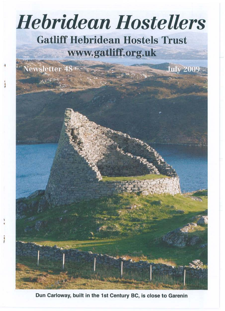# *Hebridean Hostellers*  **Gatliff Hebridean Hostels Trust www.gatliff.org.uk**

**July 200** 

**Newsletter 48%** 

, t I

Dun Carloway, built in the 1st Century BC, is close to Garenin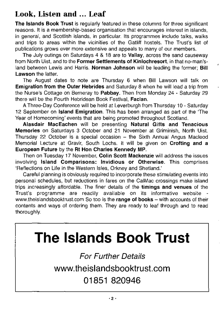## **Look, Listen and ... Leaf**

**The Islands Book Trust** is regularly featured in these columns for three significant reasons. It is a membership-based organisation that encourages interest in islands, in general, and Scottish islands, in particular. Its programmes include talks, walks and trips to areas within the vicinities of the Gatliff hostels. **The** Trust's list of publications grows ever more extensive and appeals to many of our members.

The July outings on Saturdays 4 & 18 are to **Vallay,** across the sand causeway from North Uist, and to the **Former Settlements of Kinlochresort,** in that no-man'sland between Lewis and Harris. **Norman Johnson** will be leading the former; **Bill Lawson** the latter.

The August dates to note are Thursday 6 when Bill Lawson will talk on **Emigration from the Outer Hebrides** and Saturday 8 when he will lead a trip from the Nurse's Cottage on Berneray to **Pabbay.** Then from Monday 24 - Saturday 29 there will be the Fourth Hebridean Book Festival, **Faclan.** 

A Three-Day Conference will be held at Leverburgh from Thursday 10- Saturday 12 September on **Island Emigration.** This has been arranged as part of the The Year of Homecoming' events that are being promoted throughout Scotland.

**Alasdair MacEachen** will be presenting **Natural Gifts and Tenacious Memories** on Saturdays 3 October and 21 November at Griminish, North Uist. Thursday 22 October is a special occasion - the Sixth Annual Angus Macleod Memorial Lecture at Gravir, South Lochs. It will be given on **Crofting and a European Future** by the **Rt Hon Charles Kennedy MP.** 

Then on Tuesday 17 November, **Colin Scott Mackenzie** will address the issues involving **Island Comparisons: Invidious or Otherwise.** This comprises 'Reflections on Life in the Western Isles, Orkney and Shetland.'

Careful planning is obviously required to incorporate these stimulating events into personal schedules, but reductions in fares on the CalMac crossings make island trips increasingly affordable. The finer details of the **timings and venues** of the Trust's programme are readily available on its informative website www.theislandsbooktrust.com So too is the range of books - with accounts of their contents and ways of ordering them. They are ready to leaf through and to read thoroughly.

# **The Islands Book Trust**

**For Further Details** 

**www.theislandsbooktrust.com** 

# **01 851 820946**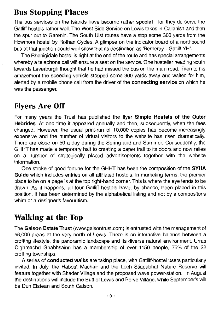## **Bus Stopping Places**

The bus services on the Islands have become rather **special** - for they do serve the Gatliff hostels rather well. The West Side Service on Lewis takes in Callanish and then the spur out to Garenin. The South Uist routes have a stop some 300 yards from the Howmore hostel by Rothan Cycles. A glimpse on the indicator board of a northbound bus at that junction could well show that its destination as 'Berneray - Gatliff VH'.

The Rhenigidale hostel is right at the end of the route and has special arrangements whereby a telephone call will ensure a seat on the service. One hosteller heading south towards Leverburgh thought that he had missed the bus on the main road. Then to his amazement the speeding vehicle stopped some 300 yards away and waited for him, alerted by a mobile phone call from the driver of the **connecting service** on which he was the passenger.

## **Flyers Are Off**

For many years the Trust has published the flyer **Simple Hostels of the Outer Hebrides.** At one time it appeared annually and then, subsequently, when the fees changed. However, the usual print-run of 10,000 copies has become increasingly" expensive and the number of virtual visitors to the website has risen dramatically. There are close on 50 a day during the Spring and and Summer. Consequently, the GHHT has made a temporary halt to creating a paper trail to its doors and now relies on a number of strategically placed advertisements together with the website information.

One stroke of good fortune for the GHHT has been the composition of the **SYHA Guide** which includes entries on all affiliated hostels. In marketing terms, the premier place to be on a page is at the top right-hand corner. This is where the eye tends to be drawn. As it happens, all four Gatliff hostels have, by chance, been placed in this position. It has been determined by the alphabetical listing and not by a compositor's whim or a designer's favouritism.

## **Walking at the Top**

The **Galson Estate Trust** (www.galsontrust.com) is entrusted with the management of 56,000 areas at the very north of Lewis. There is an interactive balance between a crofting lifestyle, the panoramic landscape and its diverse natural environment. Urras Oighreachd Ghabhsainn has a membership of over 1150 people, 75% of the 22 crofting townships.

A series of **conducted walks** are taking place, with Gatliff-hostel users particularly invited. In July, the Habost Machair and the Loch Stiapabhat Nature Reserve will feature together with Shader Village and the proposed wave power-station. In August the destinations will include the Butt of Lewis and Borve Village, while September's will be Dun Eistean and South Galson.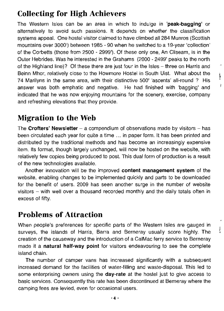## **Collecting for High Achievers**

The Western Isles can be an area in which to indulge in **'peak-bagging'** or alternatively to avoid such passions. It depends on whether the classification systems appeal. One hostel visitor claimed to have climbed all 284 Munros (Scottish mountains over 3000') between 1985 - 90 when he switched to a 19-year 'collection' of the Corbetts (those from 2500 - 2999'). Of these only one, An Cliseam, is in the Outer Hebrides. Was he interested in the Grahams (2000 - 2499' peaks to the north of the Highland line)? Of these there are just four in the Isles – three on Harris and Beinn Mhor, relatively close to the Howmore Hostel in South Uist. What about the 74 Marilyns in the same area, with their distinctive 500' 'ascents' all-round? His answer was both emphatic and negative. He had finished with 'bagging' and indicated that he was now enjoying mountains for the scenery, exercise, company and refreshing elevations that they provide.

Ì ì

 $\mathbf{I}$ 

## **Migration to the Web**

The **Crofters' Newsletter** - a compendium of observations made by visitors - has been circulated each year for quite a time ... in paper form. It has been printed and distributed by the traditional methods and has become an increasingly expensive item. Its format, though largely unchanged, will now be hosted on the website, with relatively few copies being produced to post. This dual form of production is a result of the new technologies available.

Another innovation will be the improved **content management system** of the website, enabling changes to be implemented quickly and parts to be downloaded for the benefit of users. 2009 has seen another surge in the number of website visitors  $-$  with well over a thousand recorded monthly and the daily totals often in excess of fifty.

## **Problems of Attraction**

When people's preferences for specific parts of the Western Isles are gauged in surveys, the islands of Harris, Barra and Berneray usually score highly. The creation of the causeway and the introduction of a CalMac ferry service to Berneray made it a **natural half-way point** for visitors endeavouring to see the complete island chain.

The number of camper vans has increased significantly with a subsequent increased demand for the facilities of water-filling and waste-disposal. This led to some enterprising owners using the **day-rate** at the hostel just to give access to basic services. Consequently this rate has been discontinued at Berneray where the camping fees are levied, even for occasional users.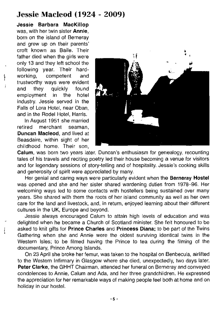#### **Jessie Macleod (1924 - 2009)**

**Jessie Barbara MacKiliop**  was, with her twin sister **Annie,**  born on the island of Berneray and grew up on their parents' croft known as Baile. Their father died when the girls were only 13 and they left school the following year. Their hardworking, competent and trustworthy ways were evident and they quickly found employment in the hotel industry. Jessie served in the Falls of Lora Hotel, near Oban, and in the Rodel Hotel, Harris.

j

In August 1951 she married retired merchant seaman, **Duncan Macleod,** and lived at Beasdaire, within sight of her childhood home. Their son,



**Calum,** was born two years later. Duncan's enthusiasm for genealogy, recounting tales of his travels and reciting poetry led their house becoming a venue for visitors and for legendary sessions of story-telling and of hospitality. Jessie's cooking skills and generosity of spirit were appreciated by many.

Her genial and caring ways were particularly evident when the **Berneray Hostel**  was opened and she and her sister shared wardening duties from 1978-96. Her welcoming ways led to some contacts with hostellers being sustained over many years. She shared with them the roots of her island community as well as her own care for the land and livestock, and, in return, enjoyed learning about their different cultures in the UK, Europe and beyond.

Jessie always encouraged Calum to attain high levels of education and was delighted when he became a Church of Scotland minister. She felt honoured to be asked to knit gifts for **Prince Charles** and **Princess Diana;** to be part of the Twins Gathering when she and Annie were the oldest surviving identical twins in the Western Isles; to be filmed having the Prince to tea during the filming of the documentary, Prince Among Islands.

On 23 April she broke her femur, was taken to the hospital on Benbecula, airlifted to the Western Infirmary in Glasgow where she died, unexpectedly, two days later. **Peter Clarke,** the GHHT Chairman, attended her funeral on Berneray and conveyed condolences to Annie, Calum and Ada, and her three grandchildren. He expressed the appreciation for her remarkable ways of making people feel both at home and on holiday in our hostel.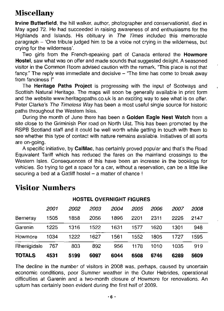## Miscellany

Irvine Butterfield, the hill walker, author, photographer and conservationist, died in May aged 72. He had succeeded in raising awareness of and enthusiasms for the Highlands and Islands. His obituary in The Times included this memorable paragraph - 'One tribute judged him to be a voice not crying in the wilderness, but crying for the wilderness'.

Two girls from the French-speaking part of Canada entered the **Howmore** Hostel, saw what was on offer and made sounds that suggested delight. A seasoned visitor in the Common Room advised caution with the remark, "This place is not that fancy." The reply was immediate and decisive  $-$  "The time has come to break away from fanciness !"

The Heritage Paths Project is progressing with the input of Scotways and Scottish Natural Heritage. The maps will soon be generally available in print form and the website www.heritagepaths.co.uk is an exciting way to see what is on offer. Peter Clarke's The Timeless Way has been a most useful single source for historic paths throughout the Western Isles.

During the month of June there has been a Golden Eagle Nest Watch from a site close to the Griminish Pier road on North Uist. This has been promoted by the RSPB Scotland staff and it could be well worth while getting in touch with them to see whether this type of contact with nature remains available. Initiatives of all sorts are on-going.

A specific initiative, by Cal Mac, has certainly proved popular and that's the Road Equivalent Tariff which has reduced the fares on the mainland crossings to the Western Isles. Consequences of this have been an increase in the bookings for vehicles. So trying to get a space for a car, without a reservation, can be a little like securing a bed at a Gatliff hostel  $-$  a matter of chance  $!$ 

| <b>HOSTEL OVERNIGHT FIGURES</b> |      |      |      |      |      |      |      |      |  |  |
|---------------------------------|------|------|------|------|------|------|------|------|--|--|
|                                 | 2001 | 2002 | 2003 | 2004 | 2005 | 2006 | 2007 | 2008 |  |  |
| Berneray                        | 1505 | 1858 | 2056 | 1896 | 2201 | 2311 | 2226 | 2147 |  |  |
| Garenin                         | 1225 | 1316 | 1522 | 1631 | 1577 | 1620 | 1301 | 948  |  |  |
| Howmore                         | 1034 | 1222 | 1627 | 1561 | 1552 | 1805 | 1727 | 1595 |  |  |
| Rhenigidale                     | 767  | 803  | 892  | 956  | 1178 | 1010 | 1035 | 919  |  |  |
| <b>TOTALS</b>                   | 4531 | 5199 | 6097 | 6044 | 6508 | 6746 | 6289 | 5609 |  |  |

## Visitor Numbers

The decline in the number of visitors in 2008 was, perhaps, caused by uncertain economic conditions, poor Summer weather in the Outer Hebrides, operational difficulties at Garenin and a two-month closure of Howmore for renovations. An upturn has certainly been evident during the first half of 2009.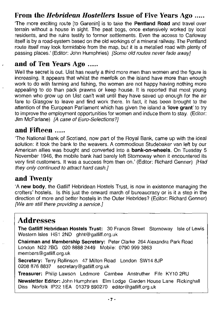#### From the *Hebridean Hostellers* Issue of Five Years Ago .....

'The more exciting route [to Garenin] is to take the Pentland Road and travel over terrain without a house in sight. The peat bogs, once extensively worked by local residents, and the ruins testify to former settlements. Even the access to Carloway itself is by a road-system based on the old workings of a mineral railway. The Pentland route itself may look formidable from the map, but it is a metalled road with plenty of passing places.' (Editor: John Humphries) [Some old routes never fade away]

#### and of Ten Years Ago .....

Well the secret is out. Uist has nearly a third more men than women and the figure is increasing. It appears that whilst the menfolk on the island have more than enough work to do with farming and fishing, the women are not happy having nothing more appealing to do than pack prawns or keep house. It is reported that most young women who grow up on Uist can't wait until they have saved up enough for the air fare to Glasgow to leave and find work there. In fact, it has been brought to the attention of the European Parliament which has given the island a 'love grant' to try to improve the employment opportunities for women and induce them to stay. (Editor: Jim McFarlane) [A case of Euro-Selections?]

#### and Fifteen .....

'The National Bank of Scotland, now part of the Royal Bank, came up with the ideal solution: it took the bank to the weavers. A commodious Studebaker van left by our American allies was bought and converted into a bank-on-wheels. On Tuesday 5 November 1946, the mobile bank had barely left Stornoway when it encountered its very first customers. It was a success from then on.' (Editor: Richard Genner) [Had they only continued to attract hard cash.]

#### and Twenty

'A new body, the Gatliff Hebridean Hostels Trust, is now in existence managing the crofters' hostels. Is this just the onward march of bureaucracy or is it a step in the direction of more and better hostels in the Outer Hebrides? (Editor: Richard Genner) [We are still there providing a service.]

## Addresses

The Gatliff Hebridean Hostels Trust: 30 Francis Street Stornoway Isle of Lewis Western Isles HS1 2ND ghht@gatliff.org.uk

Chairman and Membership Secretary: Peter Clarke 264 Alexandra Park Road London N22 7BG 020 8888 2449 Mobile: 0790 999 3863 members@gatliff.org.uk

Secretary: Terry Rollinson 47 Milton Road London SW14 8JP 0208 876 8837 secretary@gatliff.org.uk

Treasurer: Philip Lawson Ledmore Carnbee Anstruther Fife KY10 2RU

Newsletter Editor: John Humphries Elm Lodge Garden House Lane Rickinghall Diss Norfolk IP22 1EA 01379 890270 editor@gatliff.org.uk